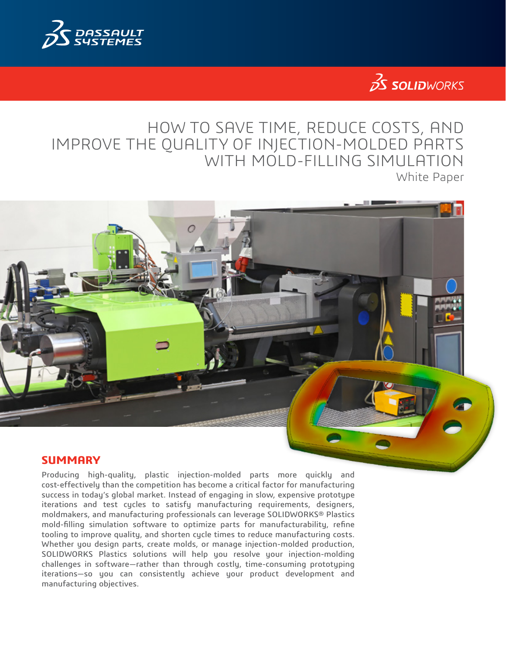

# $35$  SOLIDWORKS

# HOW TO SAVE TIME, REDUCE COSTS, AND IMPROVE THE QUALITY OF INJECTION-MOLDED PARTS WITH MOLD-FILLING SIMULATION White Paper



Producing high-quality, plastic injection-molded parts more quickly and cost-effectively than the competition has become a critical factor for manufacturing success in today's global market. Instead of engaging in slow, expensive prototype iterations and test cycles to satisfy manufacturing requirements, designers, moldmakers, and manufacturing professionals can leverage SOLIDWORKS® Plastics mold-filling simulation software to optimize parts for manufacturability, refine tooling to improve quality, and shorten cycle times to reduce manufacturing costs. Whether you design parts, create molds, or manage injection-molded production, SOLIDWORKS Plastics solutions will help you resolve your injection-molding challenges in software—rather than through costly, time-consuming prototyping iterations—so you can consistently achieve your product development and manufacturing objectives.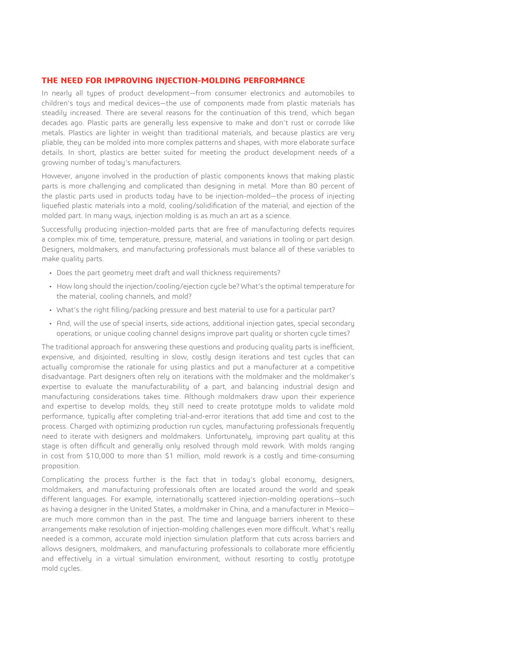#### **THE NEED FOR IMPROVING INJECTION-MOLDING PERFORMANCE**

In nearly all types of product development—from consumer electronics and automobiles to children's toys and medical devices—the use of components made from plastic materials has steadily increased. There are several reasons for the continuation of this trend, which began decades ago. Plastic parts are generally less expensive to make and don't rust or corrode like metals. Plastics are lighter in weight than traditional materials, and because plastics are very pliable, they can be molded into more complex patterns and shapes, with more elaborate surface details. In short, plastics are better suited for meeting the product development needs of a growing number of today's manufacturers.

However, anyone involved in the production of plastic components knows that making plastic parts is more challenging and complicated than designing in metal. More than 80 percent of the plastic parts used in products today have to be injection-molded—the process of injecting liquefied plastic materials into a mold, cooling/solidification of the material, and ejection of the molded part. In many ways, injection molding is as much an art as a science.

Successfully producing injection-molded parts that are free of manufacturing defects requires a complex mix of time, temperature, pressure, material, and variations in tooling or part design. Designers, moldmakers, and manufacturing professionals must balance all of these variables to make quality parts.

- Does the part geometry meet draft and wall thickness requirements?
- How long should the injection/cooling/ejection cycle be? What's the optimal temperature for the material, cooling channels, and mold?
- What's the right filling/packing pressure and best material to use for a particular part?
- And, will the use of special inserts, side actions, additional injection gates, special secondary operations, or unique cooling channel designs improve part quality or shorten cycle times?

The traditional approach for answering these questions and producing quality parts is inefficient, expensive, and disjointed, resulting in slow, costly design iterations and test cycles that can actually compromise the rationale for using plastics and put a manufacturer at a competitive disadvantage. Part designers often rely on iterations with the moldmaker and the moldmaker's expertise to evaluate the manufacturability of a part, and balancing industrial design and manufacturing considerations takes time. Although moldmakers draw upon their experience and expertise to develop molds, they still need to create prototype molds to validate mold performance, typically after completing trial-and-error iterations that add time and cost to the process. Charged with optimizing production run cycles, manufacturing professionals frequently need to iterate with designers and moldmakers. Unfortunately, improving part quality at this stage is often difficult and generally only resolved through mold rework. With molds ranging in cost from \$10,000 to more than \$1 million, mold rework is a costly and time-consuming proposition.

Complicating the process further is the fact that in today's global economy, designers, moldmakers, and manufacturing professionals often are located around the world and speak different languages. For example, internationally scattered injection-molding operations—such as having a designer in the United States, a moldmaker in China, and a manufacturer in Mexico are much more common than in the past. The time and language barriers inherent to these arrangements make resolution of injection-molding challenges even more difficult. What's really needed is a common, accurate mold injection simulation platform that cuts across barriers and allows designers, moldmakers, and manufacturing professionals to collaborate more efficiently and effectively in a virtual simulation environment, without resorting to costly prototype mold cycles.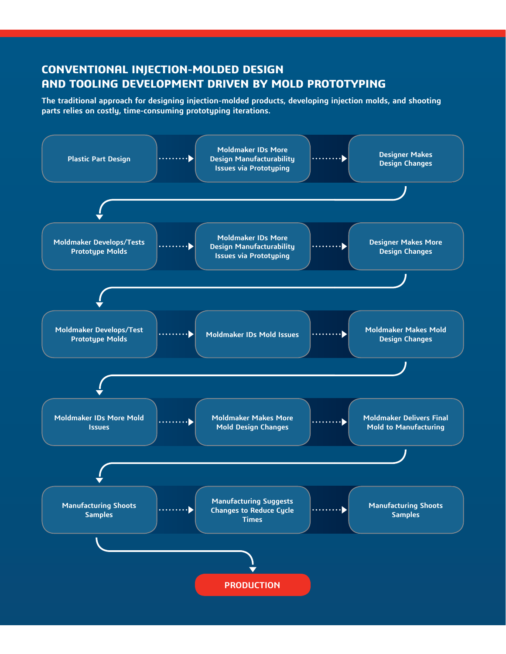# **CONVENTIONAL INJECTION-MOLDED DESIGN AND TOOLING DEVELOPMENT DRIVEN BY MOLD PROTOTYPING**

**The traditional approach for designing injection-molded products, developing injection molds, and shooting parts relies on costly, time-consuming prototyping iterations.**

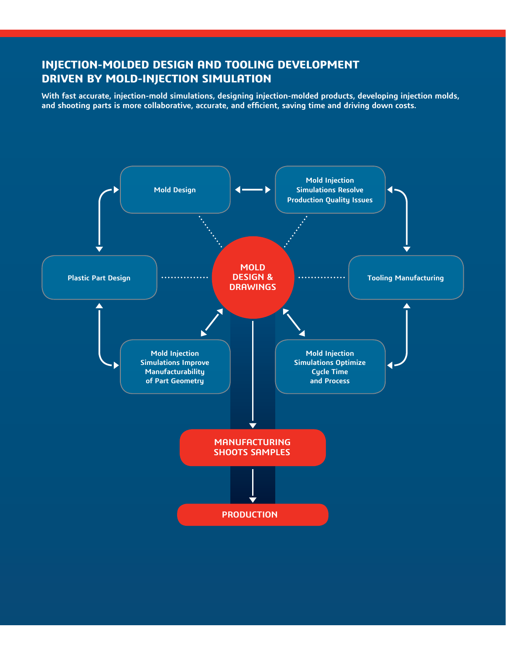# **INJECTION-MOLDED DESIGN AND TOOLING DEVELOPMENT DRIVEN BY MOLD-INJECTION SIMULATION**

**With fast accurate, injection-mold simulations, designing injection-molded products, developing injection molds, and shooting parts is more collaborative, accurate, and efficient, saving time and driving down costs.**

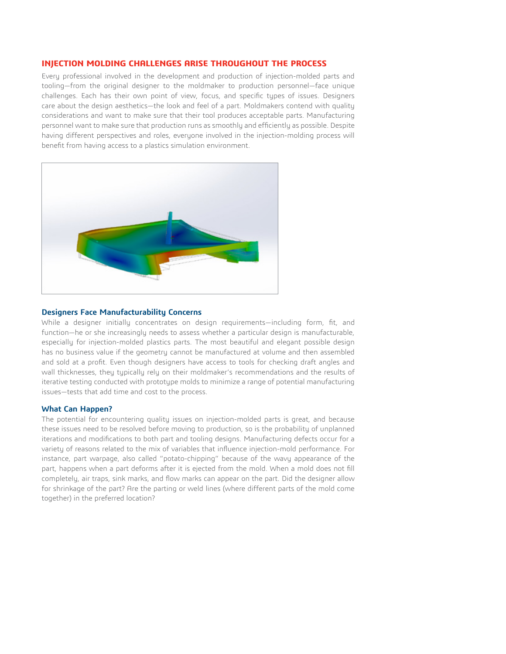# **INJECTION MOLDING CHALLENGES ARISE THROUGHOUT THE PROCESS**

Every professional involved in the development and production of injection-molded parts and tooling—from the original designer to the moldmaker to production personnel—face unique challenges. Each has their own point of view, focus, and specific types of issues. Designers care about the design aesthetics—the look and feel of a part. Moldmakers contend with quality considerations and want to make sure that their tool produces acceptable parts. Manufacturing personnel want to make sure that production runs as smoothly and efficiently as possible. Despite having different perspectives and roles, everyone involved in the injection-molding process will benefit from having access to a plastics simulation environment.



#### **Designers Face Manufacturability Concerns**

While a designer initially concentrates on design requirements—including form, fit, and function—he or she increasingly needs to assess whether a particular design is manufacturable, especially for injection-molded plastics parts. The most beautiful and elegant possible design has no business value if the geometry cannot be manufactured at volume and then assembled and sold at a profit. Even though designers have access to tools for checking draft angles and wall thicknesses, they typically rely on their moldmaker's recommendations and the results of iterative testing conducted with prototype molds to minimize a range of potential manufacturing issues—tests that add time and cost to the process.

#### **What Can Happen?**

The potential for encountering quality issues on injection-molded parts is great, and because these issues need to be resolved before moving to production, so is the probability of unplanned iterations and modifications to both part and tooling designs. Manufacturing defects occur for a variety of reasons related to the mix of variables that influence injection-mold performance. For instance, part warpage, also called "potato-chipping" because of the wavy appearance of the part, happens when a part deforms after it is ejected from the mold. When a mold does not fill completely, air traps, sink marks, and flow marks can appear on the part. Did the designer allow for shrinkage of the part? Are the parting or weld lines (where different parts of the mold come together) in the preferred location?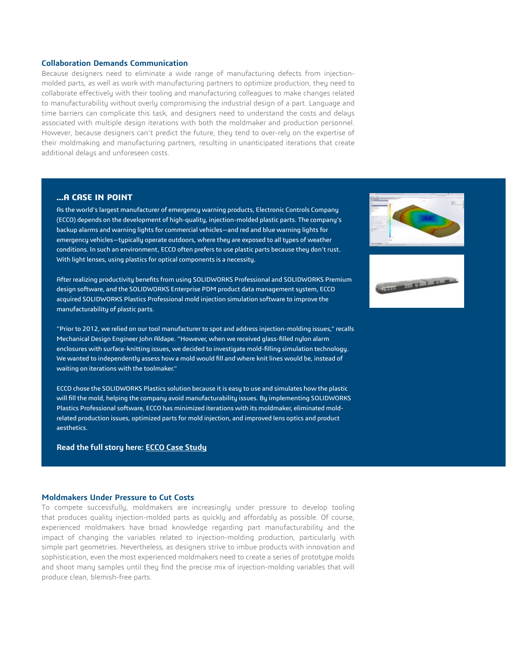#### **Collaboration Demands Communication**

Because designers need to eliminate a wide range of manufacturing defects from injectionmolded parts, as well as work with manufacturing partners to optimize production, they need to collaborate effectively with their tooling and manufacturing colleagues to make changes related to manufacturability without overly compromising the industrial design of a part. Language and time barriers can complicate this task, and designers need to understand the costs and delays associated with multiple design iterations with both the moldmaker and production personnel. However, because designers can't predict the future, they tend to over-rely on the expertise of their moldmaking and manufacturing partners, resulting in unanticipated iterations that create additional delays and unforeseen costs.

# **…A CASE IN POINT**

As the world's largest manufacturer of emergency warning products, Electronic Controls Company (ECCO) depends on the development of high-quality, injection-molded plastic parts. The company's backup alarms and warning lights for commercial vehicles—and red and blue warning lights for emergency vehicles—typically operate outdoors, where they are exposed to all types of weather conditions. In such an environment, ECCO often prefers to use plastic parts because they don't rust. With light lenses, using plastics for optical components is a necessity.

After realizing productivity benefits from using SOLIDWORKS Professional and SOLIDWORKS Premium design software, and the SOLIDWORKS Enterprise PDM product data management system, ECCO acquired SOLIDWORKS Plastics Professional mold injection simulation software to improve the manufacturability of plastic parts.

"Prior to 2012, we relied on our tool manufacturer to spot and address injection-molding issues," recalls Mechanical Design Engineer John Aldape. "However, when we received glass-filled nylon alarm enclosures with surface-knitting issues, we decided to investigate mold-filling simulation technology. We wanted to independently assess how a mold would fill and where knit lines would be, instead of waiting on iterations with the toolmaker."

ECCO chose the SOLIDWORKS Plastics solution because it is easy to use and simulates how the plastic will fill the mold, helping the company avoid manufacturability issues. By implementing SOLIDWORKS Plastics Professional software, ECCO has minimized iterations with its moldmaker, eliminated moldrelated production issues, optimized parts for mold injection, and improved lens optics and product aesthetics.

# **Read the full story here: [ECCO Case Study](http://www.solidworks.com/ecco)**

#### **Moldmakers Under Pressure to Cut Costs**

To compete successfully, moldmakers are increasingly under pressure to develop tooling that produces quality injection-molded parts as quickly and affordably as possible. Of course, experienced moldmakers have broad knowledge regarding part manufacturability and the impact of changing the variables related to injection-molding production, particularly with simple part geometries. Nevertheless, as designers strive to imbue products with innovation and sophistication, even the most experienced moldmakers need to create a series of prototype molds and shoot many samples until they find the precise mix of injection-molding variables that will produce clean, blemish-free parts.



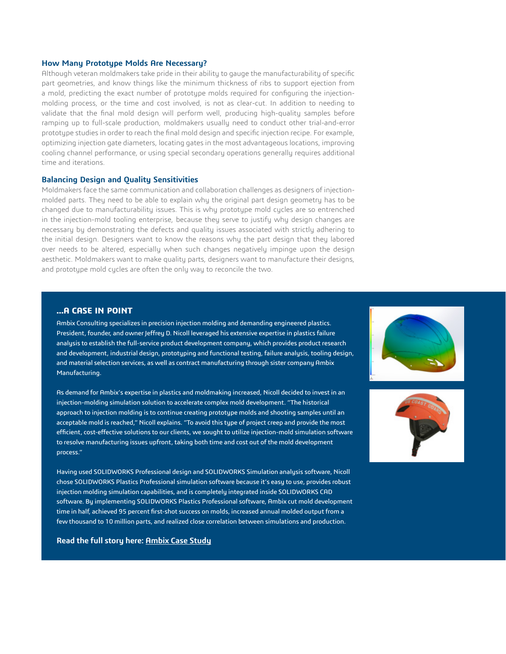# **How Many Prototype Molds Are Necessary?**

Although veteran moldmakers take pride in their ability to gauge the manufacturability of specific part geometries, and know things like the minimum thickness of ribs to support ejection from a mold, predicting the exact number of prototype molds required for configuring the injectionmolding process, or the time and cost involved, is not as clear-cut. In addition to needing to validate that the final mold design will perform well, producing high-quality samples before ramping up to full-scale production, moldmakers usually need to conduct other trial-and-error prototype studies in order to reach the final mold design and specific injection recipe. For example, optimizing injection gate diameters, locating gates in the most advantageous locations, improving cooling channel performance, or using special secondary operations generally requires additional time and iterations.

#### **Balancing Design and Quality Sensitivities**

Moldmakers face the same communication and collaboration challenges as designers of injectionmolded parts. They need to be able to explain why the original part design geometry has to be changed due to manufacturability issues. This is why prototype mold cycles are so entrenched in the injection-mold tooling enterprise, because they serve to justify why design changes are necessary by demonstrating the defects and quality issues associated with strictly adhering to the initial design. Designers want to know the reasons why the part design that they labored over needs to be altered, especially when such changes negatively impinge upon the design aesthetic. Moldmakers want to make quality parts, designers want to manufacture their designs, and prototype mold cycles are often the only way to reconcile the two.

# **…A CASE IN POINT**

Ambix Consulting specializes in precision injection molding and demanding engineered plastics. President, founder, and owner Jeffrey D. Nicoll leveraged his extensive expertise in plastics failure analysis to establish the full-service product development company, which provides product research and development, industrial design, prototyping and functional testing, failure analysis, tooling design, and material selection services, as well as contract manufacturing through sister company Ambix Manufacturing.

As demand for Ambix's expertise in plastics and moldmaking increased, Nicoll decided to invest in an injection-molding simulation solution to accelerate complex mold development. "The historical approach to injection molding is to continue creating prototype molds and shooting samples until an acceptable mold is reached," Nicoll explains. "To avoid this type of project creep and provide the most efficient, cost-effective solutions to our clients, we sought to utilize injection-mold simulation software to resolve manufacturing issues upfront, taking both time and cost out of the mold development process."

Having used SOLIDWORKS Professional design and SOLIDWORKS Simulation analysis software, Nicoll chose SOLIDWORKS Plastics Professional simulation software because it's easy to use, provides robust injection molding simulation capabilities, and is completely integrated inside SOLIDWORKS CAD software. By implementing SOLIDWORKS Plastics Professional software, Ambix cut mold development time in half, achieved 95 percent first-shot success on molds, increased annual molded output from a few thousand to 10 million parts, and realized close correlation between simulations and production.





#### **Read the full story here: [Ambix Case Study](http://www.solidworks.com/ambix)**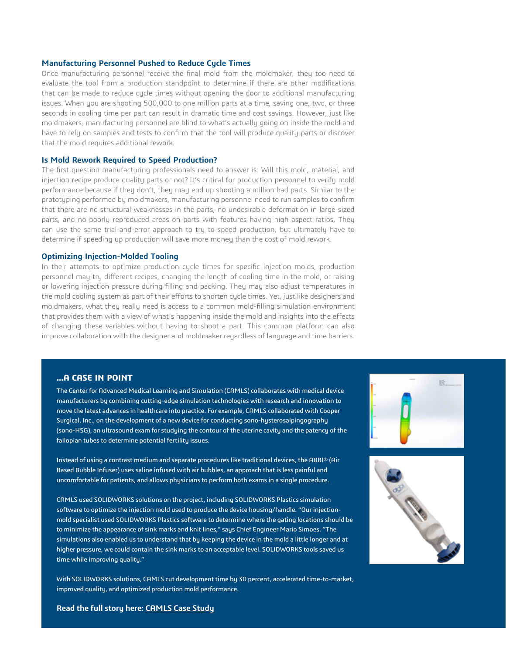### **Manufacturing Personnel Pushed to Reduce Cycle Times**

Once manufacturing personnel receive the final mold from the moldmaker, they too need to evaluate the tool from a production standpoint to determine if there are other modifications that can be made to reduce cycle times without opening the door to additional manufacturing issues. When you are shooting 500,000 to one million parts at a time, saving one, two, or three seconds in cooling time per part can result in dramatic time and cost savings. However, just like moldmakers, manufacturing personnel are blind to what's actually going on inside the mold and have to rely on samples and tests to confirm that the tool will produce quality parts or discover that the mold requires additional rework.

#### **Is Mold Rework Required to Speed Production?**

The first question manufacturing professionals need to answer is: Will this mold, material, and injection recipe produce quality parts or not? It's critical for production personnel to verify mold performance because if they don't, they may end up shooting a million bad parts. Similar to the prototyping performed by moldmakers, manufacturing personnel need to run samples to confirm that there are no structural weaknesses in the parts, no undesirable deformation in large-sized parts, and no poorly reproduced areas on parts with features having high aspect ratios. They can use the same trial-and-error approach to try to speed production, but ultimately have to determine if speeding up production will save more money than the cost of mold rework.

#### **Optimizing Injection-Molded Tooling**

In their attempts to optimize production cycle times for specific injection molds, production personnel may try different recipes, changing the length of cooling time in the mold, or raising or lowering injection pressure during filling and packing. They may also adjust temperatures in the mold cooling system as part of their efforts to shorten cycle times. Yet, just like designers and moldmakers, what they really need is access to a common mold-filling simulation environment that provides them with a view of what's happening inside the mold and insights into the effects of changing these variables without having to shoot a part. This common platform can also improve collaboration with the designer and moldmaker regardless of language and time barriers.

# **…A CASE IN POINT**

The Center for Advanced Medical Learning and Simulation (CAMLS) collaborates with medical device manufacturers by combining cutting-edge simulation technologies with research and innovation to move the latest advances in healthcare into practice. For example, CAMLS collaborated with Cooper Surgical, Inc., on the development of a new device for conducting sono-hysterosalpingography (sono-HSG), an ultrasound exam for studying the contour of the uterine cavity and the patency of the fallopian tubes to determine potential fertility issues.

Instead of using a contrast medium and separate procedures like traditional devices, the ABBI® (Air Based Bubble Infuser) uses saline infused with air bubbles, an approach that is less painful and uncomfortable for patients, and allows physicians to perform both exams in a single procedure.

CAMLS used SOLIDWORKS solutions on the project, including SOLIDWORKS Plastics simulation software to optimize the injection mold used to produce the device housing/handle. "Our injectionmold specialist used SOLIDWORKS Plastics software to determine where the gating locations should be to minimize the appearance of sink marks and knit lines," says Chief Engineer Mario Simoes. "The simulations also enabled us to understand that by keeping the device in the mold a little longer and at higher pressure, we could contain the sink marks to an acceptable level. SOLIDWORKS tools saved us time while improving quality."

With SOLIDWORKS solutions, CAMLS cut development time by 30 percent, accelerated time-to-market, improved quality, and optimized production mold performance.





**Read the full story here: [CAMLS Case Study](http://www.solidworks.com/camls)**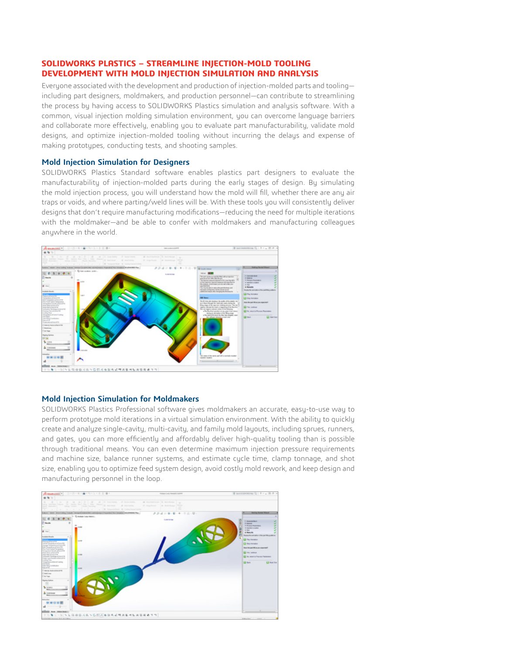# **SOLIDWORKS PLASTICS – STREAMLINE INJECTION-MOLD TOOLING DEVELOPMENT WITH MOLD INJECTION SIMULATION AND ANALYSIS**

Everyone associated with the development and production of injection-molded parts and tooling including part designers, moldmakers, and production personnel—can contribute to streamlining the process by having access to SOLIDWORKS Plastics simulation and analysis software. With a common, visual injection molding simulation environment, you can overcome language barriers and collaborate more effectively, enabling you to evaluate part manufacturability, validate mold designs, and optimize injection-molded tooling without incurring the delays and expense of making prototypes, conducting tests, and shooting samples.

#### **Mold Injection Simulation for Designers**

SOLIDWORKS Plastics Standard software enables plastics part designers to evaluate the manufacturability of injection-molded parts during the early stages of design. By simulating the mold injection process, you will understand how the mold will fill, whether there are any air traps or voids, and where parting/weld lines will be. With these tools you will consistently deliver designs that don't require manufacturing modifications—reducing the need for multiple iterations with the moldmaker—and be able to confer with moldmakers and manufacturing colleagues anuwhere in the world.



#### **Mold Injection Simulation for Moldmakers**

SOLIDWORKS Plastics Professional software gives moldmakers an accurate, easy-to-use way to perform prototype mold iterations in a virtual simulation environment. With the ability to quickly create and analyze single-cavity, multi-cavity, and family mold layouts, including sprues, runners, and gates, you can more efficiently and affordably deliver high-quality tooling than is possible through traditional means. You can even determine maximum injection pressure requirements and machine size, balance runner systems, and estimate cycle time, clamp tonnage, and shot size, enabling you to optimize feed system design, avoid costly mold rework, and keep design and manufacturing personnel in the loop.